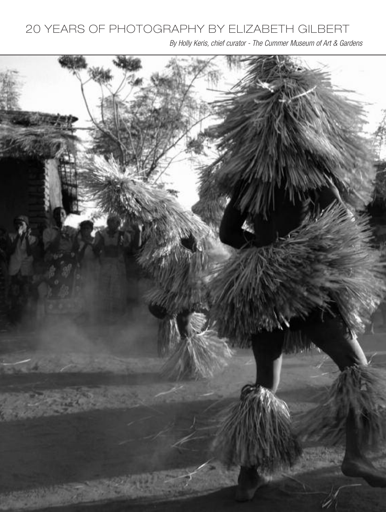## YEARS OF PHOTOGRAPHY BY ELIZABETH GILBERT

*By Holly Keris, chief curator - The Cummer Museum of Art & Gardens*

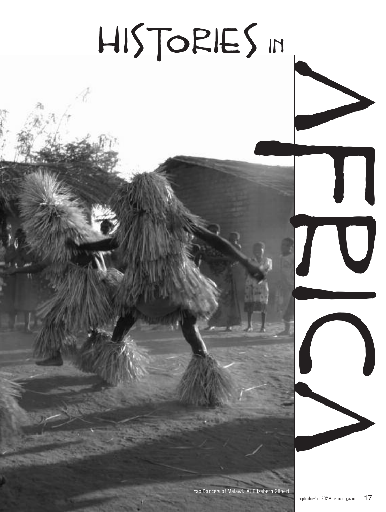## Histories in

A

T

<u>in the second second</u>

 $\begin{pmatrix} 1 & 1 \\ 1 & 1 \end{pmatrix}$ 

a

f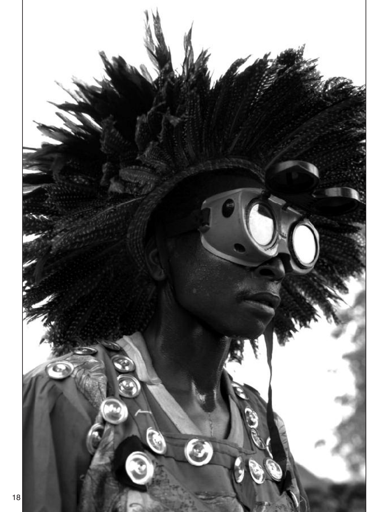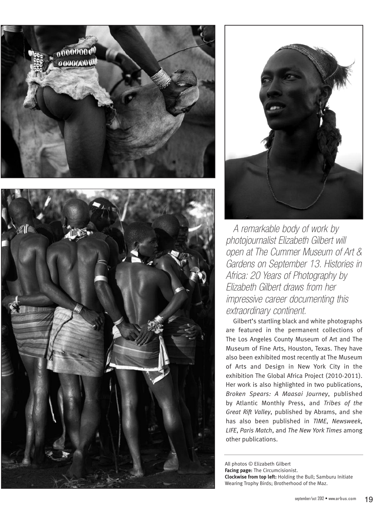





*A remarkable body of work by photojournalist Elizabeth Gilbert will open at The Cummer Museum of Art & Gardens on September 13. Histories in Africa: 20 Years of Photography by Elizabeth Gilbert draws from her impressive career documenting this extraordinary continent.*

Gilbert's startling black and white photographs are featured in the permanent collections of The Los Angeles County Museum of Art and The Museum of Fine Arts, Houston, Texas. They have also been exhibited most recently at The Museum of Arts and Design in New York City in the exhibition The Global Africa Project (2010-2011). Her work is also highlighted in two publications, *Broken Spears: A Maasai Journey*, published by Atlantic Monthly Press, and *Tribes of the Great Rift Valley*, published by Abrams, and she has also been published in *TIME*, *Newsweek*, *LIFE*, *Paris Match*, and *The New York Times* among other publications.

All photos © Elizabeth Gilbert **Facing page:** The Circumcisionist. **Clockwise from top left:** Holding the Bull; Samburu Initiate Wearing Trophy Birds; Brotherhood of the Maz.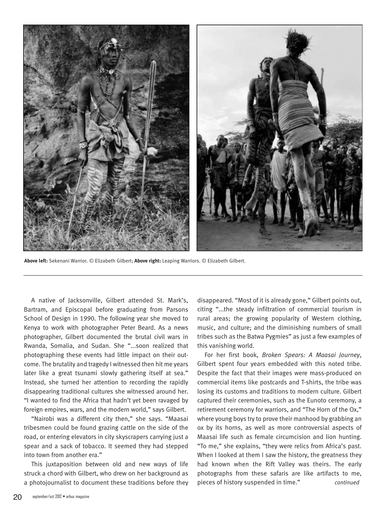

**Above left:** Sekenani Warrior. © Elizabeth Gilbert; **Above right:** Leaping Warriors. © Elizabeth Gilbert.

A native of Jacksonville, Gilbert attended St. Mark's, Bartram, and Episcopal before graduating from Parsons School of Design in 1990. The following year she moved to Kenya to work with photographer Peter Beard. As a news photographer, Gilbert documented the brutal civil wars in Rwanda, Somalia, and Sudan. She "...soon realized that photographing these events had little impact on their outcome. The brutality and tragedy I witnessed then hit me years later like a great tsunami slowly gathering itself at sea." Instead, she turned her attention to recording the rapidly disappearing traditional cultures she witnessed around her. "I wanted to find the Africa that hadn't yet been ravaged by foreign empires, wars, and the modern world," says Gilbert.

"Nairobi was a different city then," she says. "Maasai tribesmen could be found grazing cattle on the side of the road, or entering elevators in city skyscrapers carrying just a spear and a sack of tobacco. It seemed they had stepped into town from another era."

This juxtaposition between old and new ways of life struck a chord with Gilbert, who drew on her background as a photojournalist to document these traditions before they disappeared. "Most of it is already gone," Gilbert points out, citing "...the steady infiltration of commercial tourism in rural areas; the growing popularity of Western clothing, music, and culture; and the diminishing numbers of small tribes such as the Batwa Pygmies" as just a few examples of this vanishing world.

For her first book, *Broken Spears: A Maasai Journey*, Gilbert spent four years embedded with this noted tribe. Despite the fact that their images were mass-produced on commercial items like postcards and T-shirts, the tribe was losing its customs and traditions to modern culture. Gilbert captured their ceremonies, such as the Eunoto ceremony, a retirement ceremony for warriors, and "The Horn of the Ox," where young boys try to prove their manhood by grabbing an ox by its horns, as well as more controversial aspects of Maasai life such as female circumcision and lion hunting. "To me," she explains, "they were relics from Africa's past. When I looked at them I saw the history, the greatness they had known when the Rift Valley was theirs. The early photographs from these safaris are like artifacts to me, pieces of history suspended in time." *continued*